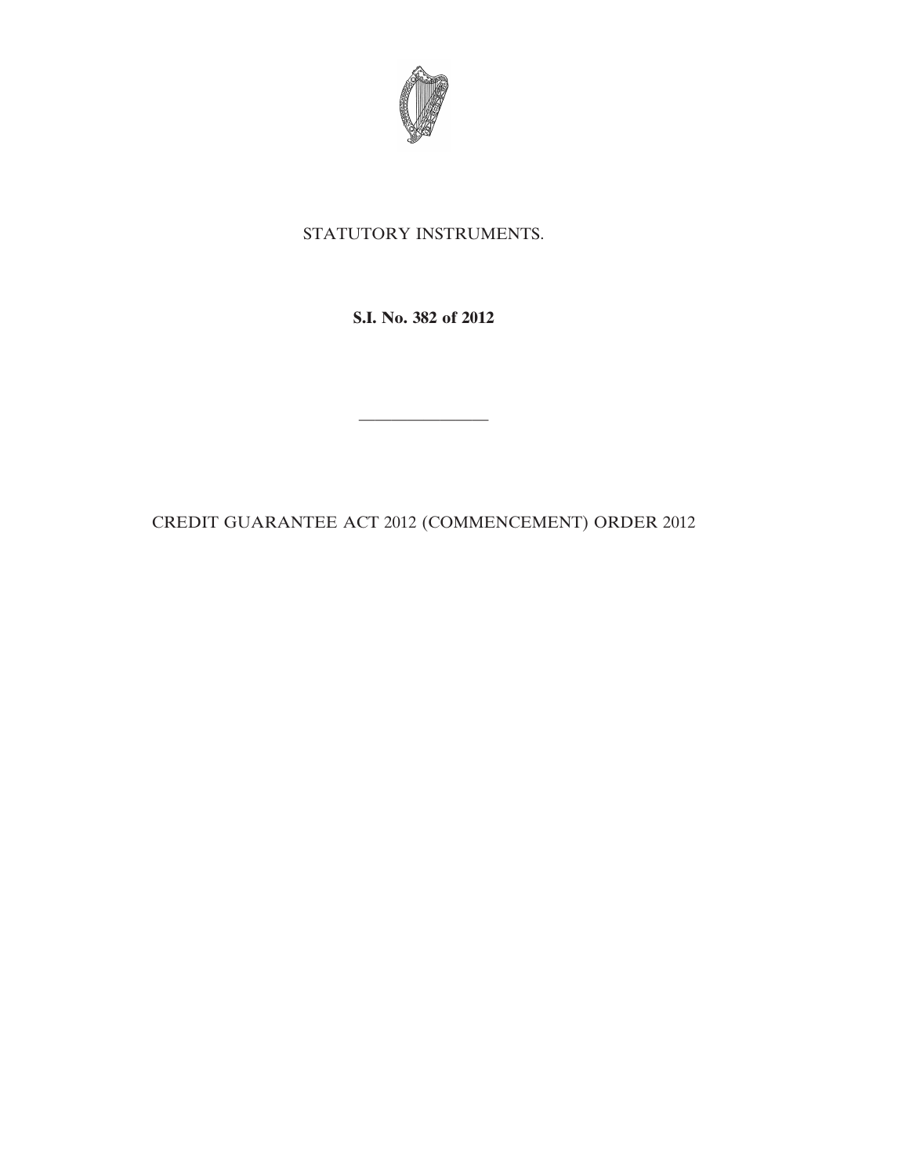

## STATUTORY INSTRUMENTS.

**S.I. No. 382 of 2012**

————————

CREDIT GUARANTEE ACT 2012 (COMMENCEMENT) ORDER 2012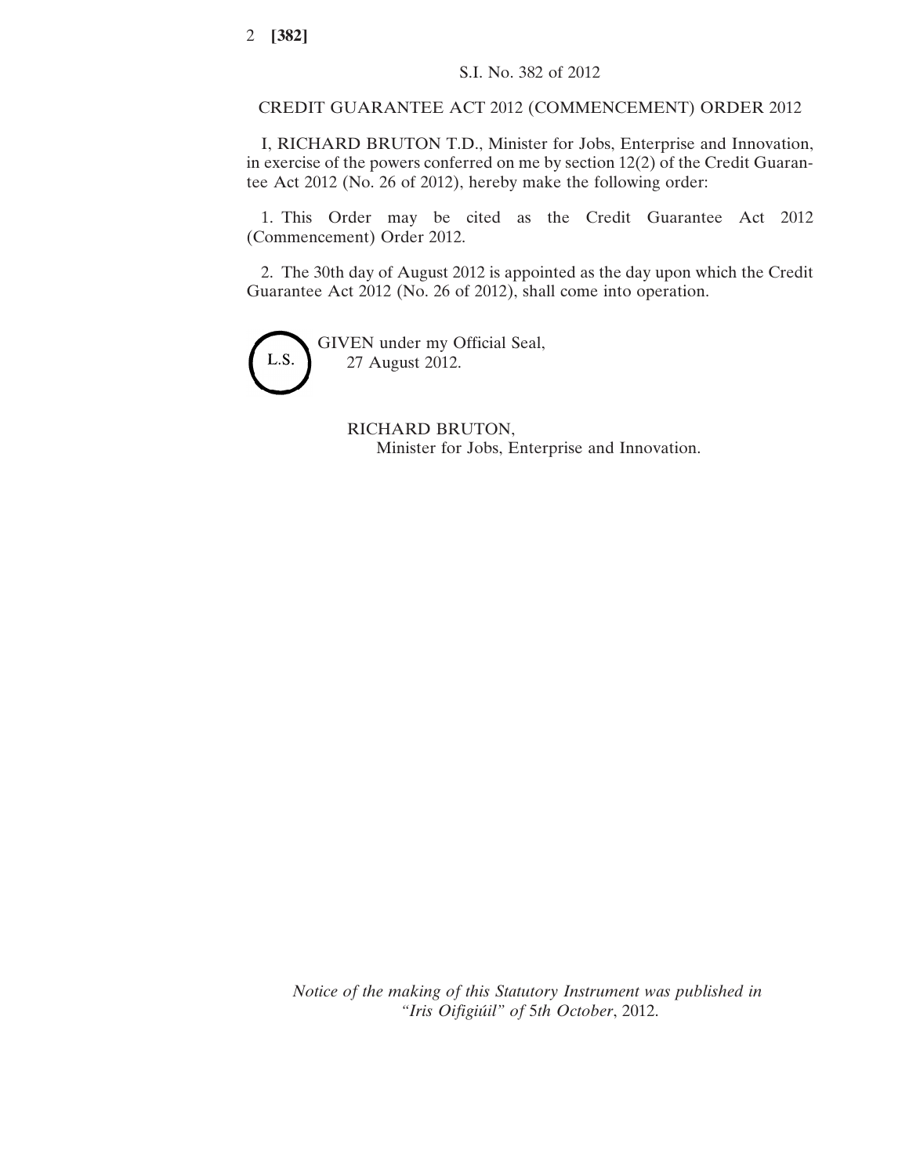## CREDIT GUARANTEE ACT 2012 (COMMENCEMENT) ORDER 2012

I, RICHARD BRUTON T.D., Minister for Jobs, Enterprise and Innovation, in exercise of the powers conferred on me by section 12(2) of the Credit Guarantee Act 2012 (No. 26 of 2012), hereby make the following order:

1. This Order may be cited as the Credit Guarantee Act 2012 (Commencement) Order 2012.

2. The 30th day of August 2012 is appointed as the day upon which the Credit Guarantee Act 2012 (No. 26 of 2012), shall come into operation.



GIVEN under my Official Seal, 27 August 2012.

> RICHARD BRUTON, Minister for Jobs, Enterprise and Innovation.

*Notice of the making of this Statutory Instrument was published in "Iris Oifigiúil" of* 5*th October*, 2012.